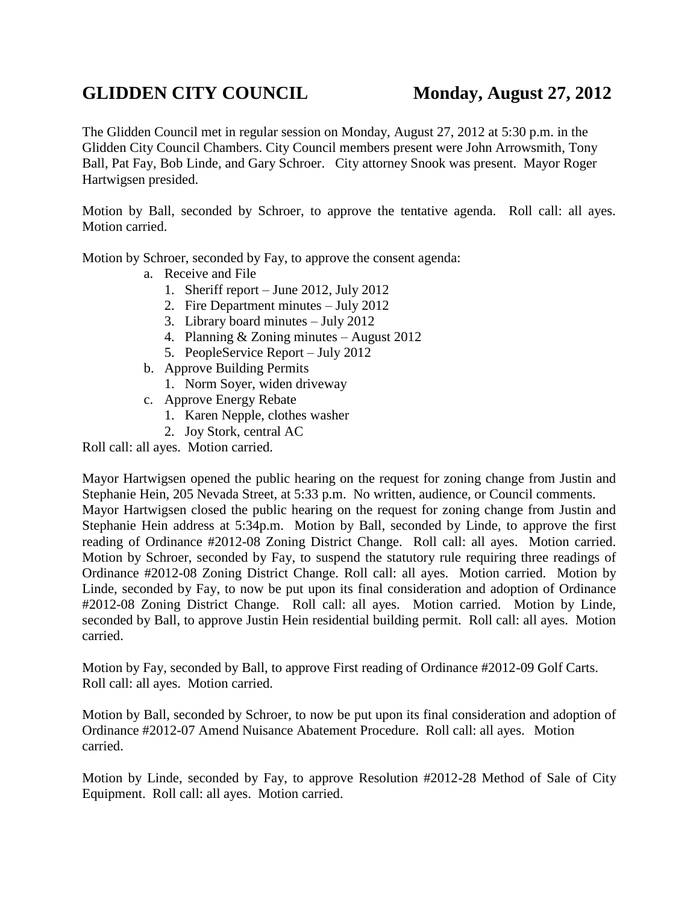## GLIDDEN CITY COUNCIL Monday, August 27, 2012

The Glidden Council met in regular session on Monday, August 27, 2012 at 5:30 p.m. in the Glidden City Council Chambers. City Council members present were John Arrowsmith, Tony Ball, Pat Fay, Bob Linde, and Gary Schroer. City attorney Snook was present. Mayor Roger Hartwigsen presided.

Motion by Ball, seconded by Schroer, to approve the tentative agenda. Roll call: all ayes. Motion carried.

Motion by Schroer, seconded by Fay, to approve the consent agenda:

- a. Receive and File
	- 1. Sheriff report June 2012, July 2012
	- 2. Fire Department minutes July 2012
	- 3. Library board minutes July 2012
	- 4. Planning & Zoning minutes August 2012
	- 5. PeopleService Report July 2012
- b. Approve Building Permits
	- 1. Norm Soyer, widen driveway
- c. Approve Energy Rebate
	- 1. Karen Nepple, clothes washer
	- 2. Joy Stork, central AC

Roll call: all ayes. Motion carried.

Mayor Hartwigsen opened the public hearing on the request for zoning change from Justin and Stephanie Hein, 205 Nevada Street, at 5:33 p.m. No written, audience, or Council comments. Mayor Hartwigsen closed the public hearing on the request for zoning change from Justin and Stephanie Hein address at 5:34p.m. Motion by Ball, seconded by Linde, to approve the first reading of Ordinance #2012-08 Zoning District Change. Roll call: all ayes. Motion carried. Motion by Schroer, seconded by Fay, to suspend the statutory rule requiring three readings of Ordinance #2012-08 Zoning District Change. Roll call: all ayes. Motion carried. Motion by Linde, seconded by Fay, to now be put upon its final consideration and adoption of Ordinance #2012-08 Zoning District Change. Roll call: all ayes. Motion carried. Motion by Linde, seconded by Ball, to approve Justin Hein residential building permit. Roll call: all ayes. Motion carried.

Motion by Fay, seconded by Ball, to approve First reading of Ordinance #2012-09 Golf Carts. Roll call: all ayes. Motion carried.

Motion by Ball, seconded by Schroer, to now be put upon its final consideration and adoption of Ordinance #2012-07 Amend Nuisance Abatement Procedure. Roll call: all ayes. Motion carried.

Motion by Linde, seconded by Fay, to approve Resolution #2012-28 Method of Sale of City Equipment. Roll call: all ayes. Motion carried.